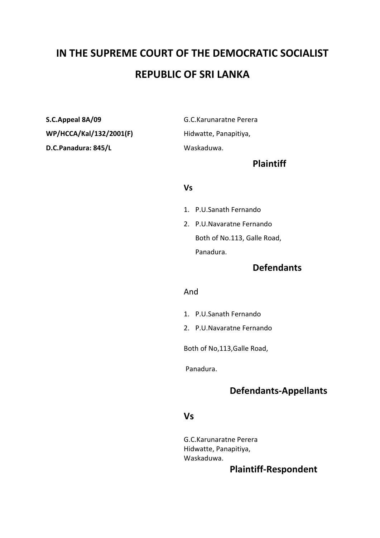# **IN THE SUPREME COURT OF THE DEMOCRATIC SOCIALIST REPUBLIC OF SRI LANKA**

**S.C.Appeal 8A/09** G.C.Karunaratne Perera **WP/HCCA/Kal/132/2001(F)** Hidwatte, Panapitiya, **D.C.Panadura: 845/L** Waskaduwa.

#### **Plaintiff**

#### **Vs**

- 1. P.U.Sanath Fernando
- 2. P.U.Navaratne Fernando Both of No.113, Galle Road, Panadura.

## **Defendants**

#### And

- 1. P.U.Sanath Fernando
- 2. P.U.Navaratne Fernando

Both of No,113,Galle Road,

Panadura.

# **Defendants-Appellants**

#### **Vs**

G.C.Karunaratne Perera Hidwatte, Panapitiya, Waskaduwa.

## **Plaintiff-Respondent**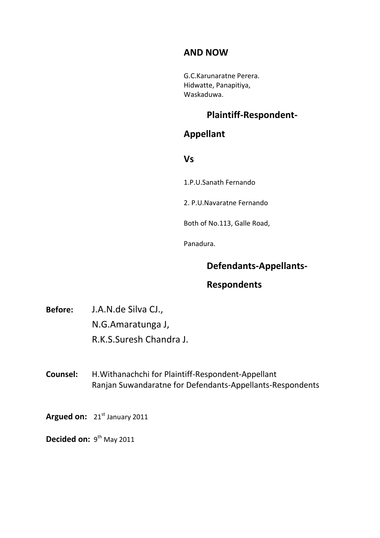# **AND NOW**

G.C.Karunaratne Perera. Hidwatte, Panapitiya, Waskaduwa.

# **Plaintiff-Respondent-**

### **Appellant**

**Vs**

1.P.U.Sanath Fernando

2. P.U.Navaratne Fernando

Both of No.113, Galle Road,

Panadura.

## **Defendants-Appellants-**

# **Respondents**

**Before:** J.A.N.de Silva CJ., N.G.Amaratunga J, R.K.S.Suresh Chandra J.

**Counsel:** H.Withanachchi for Plaintiff-Respondent-Appellant Ranjan Suwandaratne for Defendants-Appellants-Respondents

Argued on: 21<sup>st</sup> January 2011

Decided on: 9<sup>th</sup> May 2011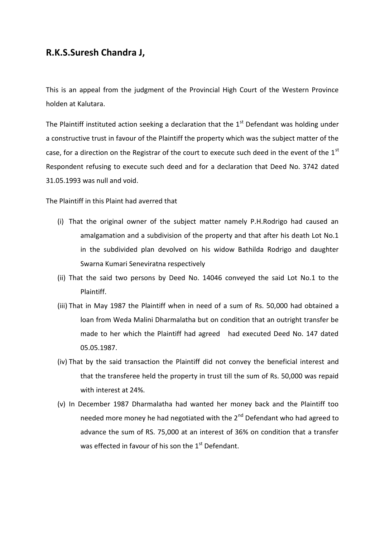#### **R.K.S.Suresh Chandra J,**

This is an appeal from the judgment of the Provincial High Court of the Western Province holden at Kalutara.

The Plaintiff instituted action seeking a declaration that the  $1<sup>st</sup>$  Defendant was holding under a constructive trust in favour of the Plaintiff the property which was the subject matter of the case, for a direction on the Registrar of the court to execute such deed in the event of the  $1<sup>st</sup>$ Respondent refusing to execute such deed and for a declaration that Deed No. 3742 dated 31.05.1993 was null and void.

The Plaintiff in this Plaint had averred that

- (i) That the original owner of the subject matter namely P.H.Rodrigo had caused an amalgamation and a subdivision of the property and that after his death Lot No.1 in the subdivided plan devolved on his widow Bathilda Rodrigo and daughter Swarna Kumari Seneviratna respectively
- (ii) That the said two persons by Deed No. 14046 conveyed the said Lot No.1 to the Plaintiff.
- (iii) That in May 1987 the Plaintiff when in need of a sum of Rs. 50,000 had obtained a loan from Weda Malini Dharmalatha but on condition that an outright transfer be made to her which the Plaintiff had agreed had executed Deed No. 147 dated 05.05.1987.
- (iv) That by the said transaction the Plaintiff did not convey the beneficial interest and that the transferee held the property in trust till the sum of Rs. 50,000 was repaid with interest at 24%.
- (v) In December 1987 Dharmalatha had wanted her money back and the Plaintiff too needed more money he had negotiated with the  $2^{nd}$  Defendant who had agreed to advance the sum of RS. 75,000 at an interest of 36% on condition that a transfer was effected in favour of his son the  $1<sup>st</sup>$  Defendant.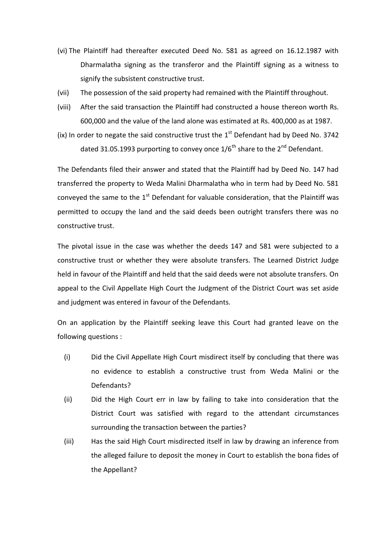- (vi) The Plaintiff had thereafter executed Deed No. 581 as agreed on 16.12.1987 with Dharmalatha signing as the transferor and the Plaintiff signing as a witness to signify the subsistent constructive trust.
- (vii) The possession of the said property had remained with the Plaintiff throughout.
- (viii) After the said transaction the Plaintiff had constructed a house thereon worth Rs. 600,000 and the value of the land alone was estimated at Rs. 400,000 as at 1987.
- (ix) In order to negate the said constructive trust the  $1<sup>st</sup>$  Defendant had by Deed No. 3742 dated 31.05.1993 purporting to convey once  $1/6^{th}$  share to the  $2^{nd}$  Defendant.

The Defendants filed their answer and stated that the Plaintiff had by Deed No. 147 had transferred the property to Weda Malini Dharmalatha who in term had by Deed No. 581 conveyed the same to the  $1<sup>st</sup>$  Defendant for valuable consideration, that the Plaintiff was permitted to occupy the land and the said deeds been outright transfers there was no constructive trust.

The pivotal issue in the case was whether the deeds 147 and 581 were subjected to a constructive trust or whether they were absolute transfers. The Learned District Judge held in favour of the Plaintiff and held that the said deeds were not absolute transfers. On appeal to the Civil Appellate High Court the Judgment of the District Court was set aside and judgment was entered in favour of the Defendants.

On an application by the Plaintiff seeking leave this Court had granted leave on the following questions :

- (i) Did the Civil Appellate High Court misdirect itself by concluding that there was no evidence to establish a constructive trust from Weda Malini or the Defendants?
- (ii) Did the High Court err in law by failing to take into consideration that the District Court was satisfied with regard to the attendant circumstances surrounding the transaction between the parties?
- (iii) Has the said High Court misdirected itself in law by drawing an inference from the alleged failure to deposit the money in Court to establish the bona fides of the Appellant?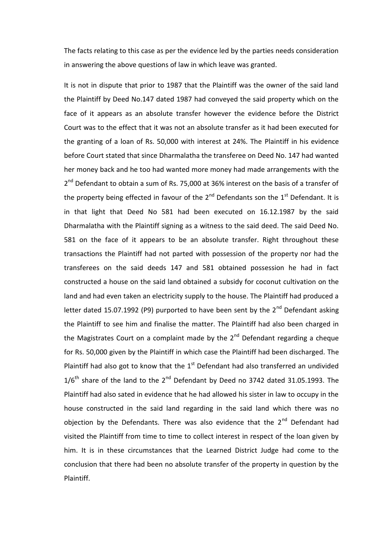The facts relating to this case as per the evidence led by the parties needs consideration in answering the above questions of law in which leave was granted.

It is not in dispute that prior to 1987 that the Plaintiff was the owner of the said land the Plaintiff by Deed No.147 dated 1987 had conveyed the said property which on the face of it appears as an absolute transfer however the evidence before the District Court was to the effect that it was not an absolute transfer as it had been executed for the granting of a loan of Rs. 50,000 with interest at 24%. The Plaintiff in his evidence before Court stated that since Dharmalatha the transferee on Deed No. 147 had wanted her money back and he too had wanted more money had made arrangements with the 2<sup>nd</sup> Defendant to obtain a sum of Rs. 75,000 at 36% interest on the basis of a transfer of the property being effected in favour of the  $2^{nd}$  Defendants son the  $1^{st}$  Defendant. It is in that light that Deed No 581 had been executed on 16.12.1987 by the said Dharmalatha with the Plaintiff signing as a witness to the said deed. The said Deed No. 581 on the face of it appears to be an absolute transfer. Right throughout these transactions the Plaintiff had not parted with possession of the property nor had the transferees on the said deeds 147 and 581 obtained possession he had in fact constructed a house on the said land obtained a subsidy for coconut cultivation on the land and had even taken an electricity supply to the house. The Plaintiff had produced a letter dated 15.07.1992 (P9) purported to have been sent by the  $2^{nd}$  Defendant asking the Plaintiff to see him and finalise the matter. The Plaintiff had also been charged in the Magistrates Court on a complaint made by the  $2<sup>nd</sup>$  Defendant regarding a cheque for Rs. 50,000 given by the Plaintiff in which case the Plaintiff had been discharged. The Plaintiff had also got to know that the  $1<sup>st</sup>$  Defendant had also transferred an undivided  $1/6^{\text{th}}$  share of the land to the  $2^{\text{nd}}$  Defendant by Deed no 3742 dated 31.05.1993. The Plaintiff had also sated in evidence that he had allowed his sister in law to occupy in the house constructed in the said land regarding in the said land which there was no objection by the Defendants. There was also evidence that the  $2<sup>nd</sup>$  Defendant had visited the Plaintiff from time to time to collect interest in respect of the loan given by him. It is in these circumstances that the Learned District Judge had come to the conclusion that there had been no absolute transfer of the property in question by the Plaintiff.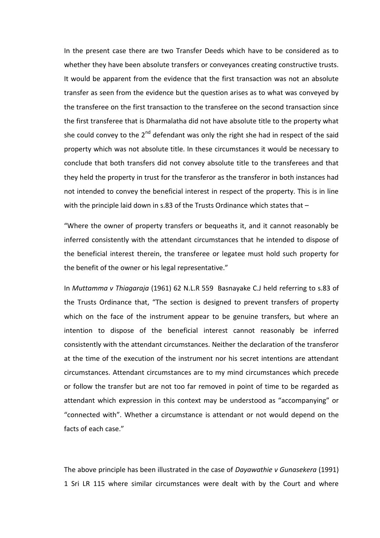In the present case there are two Transfer Deeds which have to be considered as to whether they have been absolute transfers or conveyances creating constructive trusts. It would be apparent from the evidence that the first transaction was not an absolute transfer as seen from the evidence but the question arises as to what was conveyed by the transferee on the first transaction to the transferee on the second transaction since the first transferee that is Dharmalatha did not have absolute title to the property what she could convey to the  $2^{nd}$  defendant was only the right she had in respect of the said property which was not absolute title. In these circumstances it would be necessary to conclude that both transfers did not convey absolute title to the transferees and that they held the property in trust for the transferor as the transferor in both instances had not intended to convey the beneficial interest in respect of the property. This is in line with the principle laid down in s.83 of the Trusts Ordinance which states that -

"Where the owner of property transfers or bequeaths it, and it cannot reasonably be inferred consistently with the attendant circumstances that he intended to dispose of the beneficial interest therein, the transferee or legatee must hold such property for the benefit of the owner or his legal representative."

In *Muttamma v Thiagaraja* (1961) 62 N.L.R 559 Basnayake C.J held referring to s.83 of the Trusts Ordinance that, "The section is designed to prevent transfers of property which on the face of the instrument appear to be genuine transfers, but where an intention to dispose of the beneficial interest cannot reasonably be inferred consistently with the attendant circumstances. Neither the declaration of the transferor at the time of the execution of the instrument nor his secret intentions are attendant circumstances. Attendant circumstances are to my mind circumstances which precede or follow the transfer but are not too far removed in point of time to be regarded as attendant which expression in this context may be understood as "accompanying" or "connected with". Whether a circumstance is attendant or not would depend on the facts of each case."

The above principle has been illustrated in the case of *Dayawathie v Gunasekera* (1991) 1 Sri LR 115 where similar circumstances were dealt with by the Court and where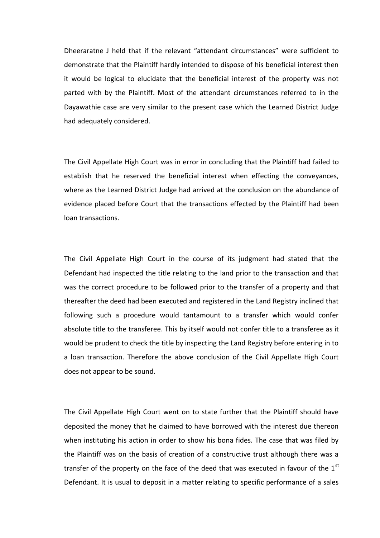Dheeraratne J held that if the relevant "attendant circumstances" were sufficient to demonstrate that the Plaintiff hardly intended to dispose of his beneficial interest then it would be logical to elucidate that the beneficial interest of the property was not parted with by the Plaintiff. Most of the attendant circumstances referred to in the Dayawathie case are very similar to the present case which the Learned District Judge had adequately considered.

The Civil Appellate High Court was in error in concluding that the Plaintiff had failed to establish that he reserved the beneficial interest when effecting the conveyances, where as the Learned District Judge had arrived at the conclusion on the abundance of evidence placed before Court that the transactions effected by the Plaintiff had been loan transactions.

The Civil Appellate High Court in the course of its judgment had stated that the Defendant had inspected the title relating to the land prior to the transaction and that was the correct procedure to be followed prior to the transfer of a property and that thereafter the deed had been executed and registered in the Land Registry inclined that following such a procedure would tantamount to a transfer which would confer absolute title to the transferee. This by itself would not confer title to a transferee as it would be prudent to check the title by inspecting the Land Registry before entering in to a loan transaction. Therefore the above conclusion of the Civil Appellate High Court does not appear to be sound.

The Civil Appellate High Court went on to state further that the Plaintiff should have deposited the money that he claimed to have borrowed with the interest due thereon when instituting his action in order to show his bona fides. The case that was filed by the Plaintiff was on the basis of creation of a constructive trust although there was a transfer of the property on the face of the deed that was executed in favour of the  $1<sup>st</sup>$ Defendant. It is usual to deposit in a matter relating to specific performance of a sales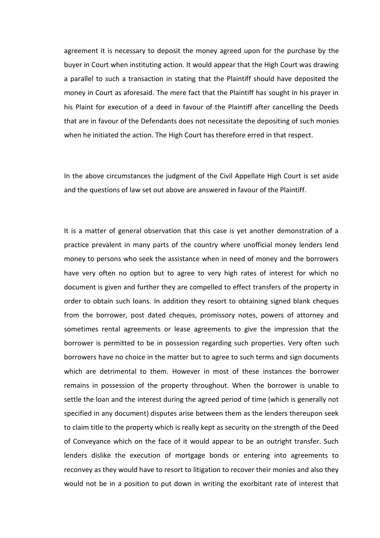agreement it is necessary to deposit the money agreed upon for the purchase by the buyer in Court when instituting action. It would appear that the High Court was drawing a parallel to such a transaction in stating that the Plaintiff should have deposited the money in Court as aforesaid. The mere fact that the Plaintiff has sought in his prayer in his Plaint for execution of a deed in favour of the Plaintiff after cancelling the Deeds that are in favour of the Defendants does not necessitate the depositing of such monies when he initiated the action. The High Court has therefore erred in that respect.

In the above circumstances the judgment of the Civil Appellate High Court is set aside and the questions of law set out above are answered in favour of the Plaintiff.

It is a matter of general observation that this case is yet another demonstration of a practice prevalent in many parts of the country where unofficial money lenders lend money to persons who seek the assistance when in need of money and the borrowers have very often no option but to agree to very high rates of interest for which no document is given and further they are compelled to effect transfers of the property in order to obtain such loans. In addition they resort to obtaining signed blank cheques from the borrower, post dated cheques, promissory notes, powers of attorney and sometimes rental agreements or lease agreements to give the impression that the borrower is permitted to be in possession regarding such properties. Very often such borrowers have no choice in the matter but to agree to such terms and sign documents which are detrimental to them. However in most of these instances the borrower remains in possession of the property throughout. When the borrower is unable to settle the loan and the interest during the agreed period of time (which is generally not specified in any document) disputes arise between them as the lenders thereupon seek to claim title to the property which is really kept as security on the strength of the Deed of Conveyance which on the face of it would appear to be an outright transfer. Such lenders dislike the execution of mortgage bonds or entering into agreements to reconvey as they would have to resort to litigation to recover their monies and also they would not be in a position to put down in writing the exorbitant rate of interest that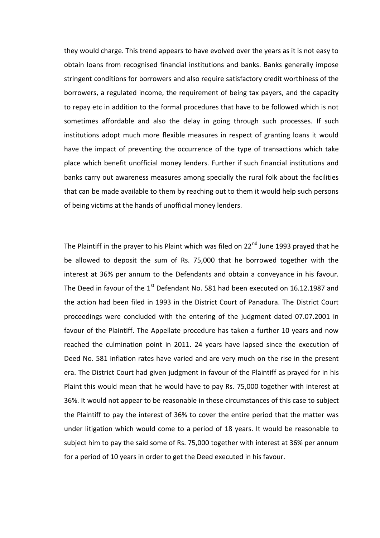they would charge. This trend appears to have evolved over the years as it is not easy to obtain loans from recognised financial institutions and banks. Banks generally impose stringent conditions for borrowers and also require satisfactory credit worthiness of the borrowers, a regulated income, the requirement of being tax payers, and the capacity to repay etc in addition to the formal procedures that have to be followed which is not sometimes affordable and also the delay in going through such processes. If such institutions adopt much more flexible measures in respect of granting loans it would have the impact of preventing the occurrence of the type of transactions which take place which benefit unofficial money lenders. Further if such financial institutions and banks carry out awareness measures among specially the rural folk about the facilities that can be made available to them by reaching out to them it would help such persons of being victims at the hands of unofficial money lenders.

The Plaintiff in the prayer to his Plaint which was filed on  $22<sup>nd</sup>$  June 1993 prayed that he be allowed to deposit the sum of Rs. 75,000 that he borrowed together with the interest at 36% per annum to the Defendants and obtain a conveyance in his favour. The Deed in favour of the  $1<sup>st</sup>$  Defendant No. 581 had been executed on 16.12.1987 and the action had been filed in 1993 in the District Court of Panadura. The District Court proceedings were concluded with the entering of the judgment dated 07.07.2001 in favour of the Plaintiff. The Appellate procedure has taken a further 10 years and now reached the culmination point in 2011. 24 years have lapsed since the execution of Deed No. 581 inflation rates have varied and are very much on the rise in the present era. The District Court had given judgment in favour of the Plaintiff as prayed for in his Plaint this would mean that he would have to pay Rs. 75,000 together with interest at 36%. It would not appear to be reasonable in these circumstances of this case to subject the Plaintiff to pay the interest of 36% to cover the entire period that the matter was under litigation which would come to a period of 18 years. It would be reasonable to subject him to pay the said some of Rs. 75,000 together with interest at 36% per annum for a period of 10 years in order to get the Deed executed in his favour.